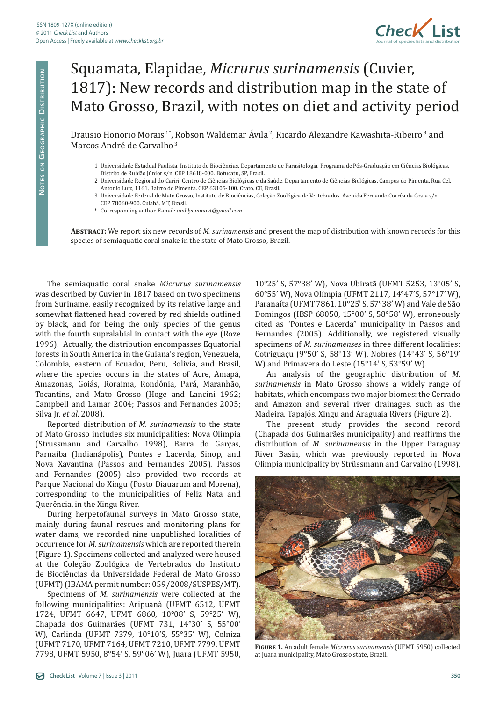

## Squamata, Elapidae, *Micrurus surinamensis* (Cuvier, 1817): New records and distribution map in the state of Mato Grosso, Brazil, with notes on diet and activity period

Drausio Honorio Morais<sup>1\*</sup>, Robson Waldemar Ávila<sup>2</sup>, Ricardo Alexandre Kawashita-Ribeiro<sup>3</sup> and Marcos André de Carvalho<sup>3</sup>

- 1 Universidade Estadual Paulista, Instituto de Biociências, Departamento de Parasitologia. Programa de Pós-Graduação em Ciências Biológicas. Distrito de Rubião Júnior s/n. CEP 18618-000. Botucatu, SP, Brasil.
- 2 Universidade Regional do Cariri, Centro de Ciências Biológicas e da Saúde, Departamento de Ciências Biológicas, Campus do Pimenta, Rua Cel. Antonio Luiz, 1161, Bairro do Pimenta. CEP 63105-100. Crato, CE, Brasil.
- 3 Universidade Federal de Mato Grosso, Instituto de Biociências, Coleção Zoológica de Vertebrados. Avenida Fernando Corrêa da Costa s/n. CEP 78060-900. Cuiabá, MT, Brasil.
- \* Corresponding author. E-mail: *amblyommavt@gmail.com*

**Abstract:** We report six new records of *M. surinamensis* and present the map of distribution with known records for this species of semiaquatic coral snake in the state of Mato Grosso, Brazil.

The semiaquatic coral snake *Micrurus surinamensis*  was described by Cuvier in 1817 based on two specimens from Suriname, easily recognized by its relative large and somewhat flattened head covered by red shields outlined by black, and for being the only species of the genus with the fourth supralabial in contact with the eye (Roze 1996). Actually, the distribution encompasses Equatorial forests in South America in the Guiana's region, Venezuela, Colombia, eastern of Ecuador, Peru, Bolivia, and Brasil, where the species occurs in the states of Acre, Amapá, Amazonas, Goiás, Roraima, Rondônia, Pará, Maranhão, Tocantins, and Mato Grosso (Hoge and Lancini 1962; Campbell and Lamar 2004; Passos and Fernandes 2005; Silva Jr. *et al*. 2008).

Reported distribution of *M. surinamensis* to the state of Mato Grosso includes six municipalities: Nova Olímpia (Strussmann and Carvalho 1998), Barra do Garças, Parnaíba (Indianápolis), Pontes e Lacerda, Sinop, and Nova Xavantina (Passos and Fernandes 2005). Passos and Fernandes (2005) also provided two records at Parque Nacional do Xingu (Posto Diauarum and Morena), corresponding to the municipalities of Feliz Nata and Querência, in the Xingu River.

During herpetofaunal surveys in Mato Grosso state, mainly during faunal rescues and monitoring plans for water dams, we recorded nine unpublished localities of occurrence for *M. surinamensis* which are reported therein (Figure 1). Specimens collected and analyzed were housed at the Coleção Zoológica de Vertebrados do Instituto de Biociências da Universidade Federal de Mato Grosso (UFMT) (IBAMA permit number: 059/2008/SUSPES/MT).

Specimens of *M. surinamensis* were collected at the following municipalities: Aripuanã (UFMT 6512, UFMT 1724, UFMT 6647, UFMT 6860, 10°08' S, 59°25' W), Chapada dos Guimarães (UFMT 731, 14°30' S, 55°00' W), Carlinda (UFMT 7379, 10°10'S, 55°35' W), Colniza (UFMT 7170, UFMT 7164, UFMT 7210, UFMT 7799, UFMT 7798, UFMT 5950, 8°54' S, 59°06' W), Juara (UFMT 5950,

10°25' S, 57°38' W), Nova Ubiratã (UFMT 5253, 13°05' S, 60°55' W), Nova Olímpia (UFMT 2117, 14°47'S, 57°17' W), Paranaíta (UFMT 7861, 10°25' S, 57°38' W) and Vale de São Domingos (IBSP 68050, 15°00' S, 58°58' W), erroneously cited as "Pontes e Lacerda" municipality in Passos and Fernandes (2005). Additionally, we registered visually specimens of *M*. *surinamenses* in three different localities: Cotriguaçu (9°50' S, 58°13' W), Nobres (14°43' S, 56°19' W) and Primavera do Leste (15°14' S, 53°59' W).

An analysis of the geographic distribution of *M. surinamensis* in Mato Grosso shows a widely range of habitats, which encompass two major biomes: the Cerrado and Amazon and several river drainages, such as the Madeira, Tapajós, Xingu and Araguaia Rivers (Figure 2).

The present study provides the second record (Chapada dos Guimarães municipality) and reaffirms the distribution of *M. surinamensis* in the Upper Paraguay River Basin, which was previously reported in Nova Olímpia municipality by Strüssmann and Carvalho (1998).



**Figure 1.** An adult female *Micrurus surinamensis* (UFMT 5950) collected at Juara municipality, Mato Grosso state, Brazil.